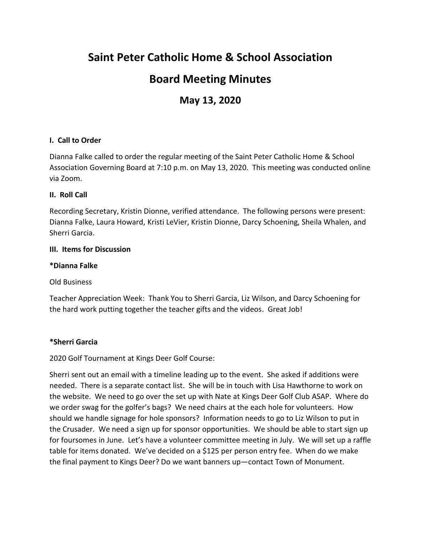# **Saint Peter Catholic Home & School Association**

## **Board Meeting Minutes**

## **May 13, 2020**

## **I. Call to Order**

Dianna Falke called to order the regular meeting of the Saint Peter Catholic Home & School Association Governing Board at 7:10 p.m. on May 13, 2020. This meeting was conducted online via Zoom.

## **II. Roll Call**

Recording Secretary, Kristin Dionne, verified attendance. The following persons were present: Dianna Falke, Laura Howard, Kristi LeVier, Kristin Dionne, Darcy Schoening, Sheila Whalen, and Sherri Garcia.

### **III. Items for Discussion**

### **\*Dianna Falke**

Old Business

Teacher Appreciation Week: Thank You to Sherri Garcia, Liz Wilson, and Darcy Schoening for the hard work putting together the teacher gifts and the videos. Great Job!

## **\*Sherri Garcia**

## 2020 Golf Tournament at Kings Deer Golf Course:

Sherri sent out an email with a timeline leading up to the event. She asked if additions were needed. There is a separate contact list. She will be in touch with Lisa Hawthorne to work on the website. We need to go over the set up with Nate at Kings Deer Golf Club ASAP. Where do we order swag for the golfer's bags? We need chairs at the each hole for volunteers. How should we handle signage for hole sponsors? Information needs to go to Liz Wilson to put in the Crusader. We need a sign up for sponsor opportunities. We should be able to start sign up for foursomes in June. Let's have a volunteer committee meeting in July. We will set up a raffle table for items donated. We've decided on a \$125 per person entry fee. When do we make the final payment to Kings Deer? Do we want banners up—contact Town of Monument.